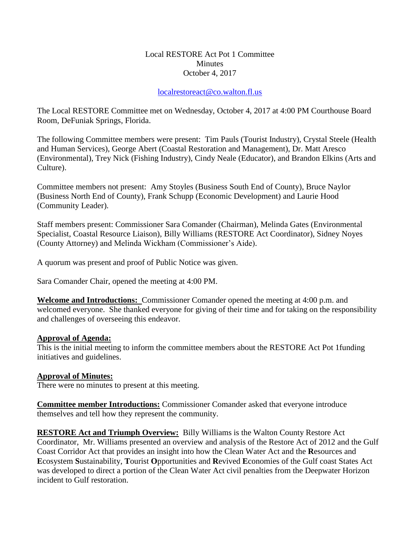## Local RESTORE Act Pot 1 Committee **Minutes** October 4, 2017

## [localrestoreact@co.walton.fl.us](mailto:localrestoreact@co.walton.fl.us)

The Local RESTORE Committee met on Wednesday, October 4, 2017 at 4:00 PM Courthouse Board Room, DeFuniak Springs, Florida.

The following Committee members were present: Tim Pauls (Tourist Industry), Crystal Steele (Health and Human Services), George Abert (Coastal Restoration and Management), Dr. Matt Aresco (Environmental), Trey Nick (Fishing Industry), Cindy Neale (Educator), and Brandon Elkins (Arts and Culture).

Committee members not present: Amy Stoyles (Business South End of County), Bruce Naylor (Business North End of County), Frank Schupp (Economic Development) and Laurie Hood (Community Leader).

Staff members present: Commissioner Sara Comander (Chairman), Melinda Gates (Environmental Specialist, Coastal Resource Liaison), Billy Williams (RESTORE Act Coordinator), Sidney Noyes (County Attorney) and Melinda Wickham (Commissioner's Aide).

A quorum was present and proof of Public Notice was given.

Sara Comander Chair, opened the meeting at 4:00 PM.

**Welcome and Introductions:** Commissioner Comander opened the meeting at 4:00 p.m. and welcomed everyone. She thanked everyone for giving of their time and for taking on the responsibility and challenges of overseeing this endeavor.

## **Approval of Agenda:**

This is the initial meeting to inform the committee members about the RESTORE Act Pot 1funding initiatives and guidelines.

## **Approval of Minutes:**

There were no minutes to present at this meeting.

**Committee member Introductions:** Commissioner Comander asked that everyone introduce themselves and tell how they represent the community.

**RESTORE Act and Triumph Overview:** Billy Williams is the Walton County Restore Act Coordinator, Mr. Williams presented an overview and analysis of the Restore Act of 2012 and the Gulf Coast Corridor Act that provides an insight into how the Clean Water Act and the **R**esources and **E**cosystem **S**ustainability, **T**ourist **O**pportunities and **R**evived **E**conomies of the Gulf coast States Act was developed to direct a portion of the Clean Water Act civil penalties from the Deepwater Horizon incident to Gulf restoration.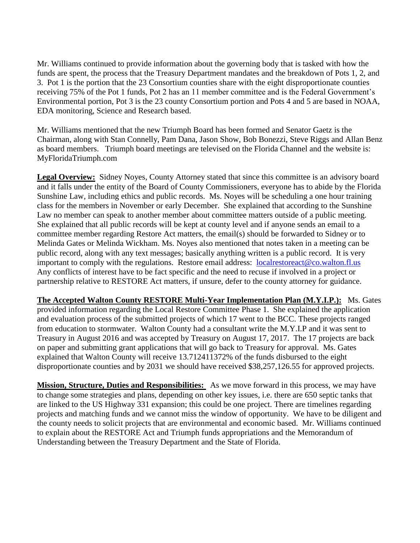Mr. Williams continued to provide information about the governing body that is tasked with how the funds are spent, the process that the Treasury Department mandates and the breakdown of Pots 1, 2, and 3. Pot 1 is the portion that the 23 Consortium counties share with the eight disproportionate counties receiving 75% of the Pot 1 funds, Pot 2 has an 11 member committee and is the Federal Government's Environmental portion, Pot 3 is the 23 county Consortium portion and Pots 4 and 5 are based in NOAA, EDA monitoring, Science and Research based.

Mr. Williams mentioned that the new Triumph Board has been formed and Senator Gaetz is the Chairman, along with Stan Connelly, Pam Dana, Jason Show, Bob Bonezzi, Steve Riggs and Allan Benz as board members. Triumph board meetings are televised on the Florida Channel and the website is: MyFloridaTriumph.com

**Legal Overview:** Sidney Noyes, County Attorney stated that since this committee is an advisory board and it falls under the entity of the Board of County Commissioners, everyone has to abide by the Florida Sunshine Law, including ethics and public records. Ms. Noyes will be scheduling a one hour training class for the members in November or early December. She explained that according to the Sunshine Law no member can speak to another member about committee matters outside of a public meeting. She explained that all public records will be kept at county level and if anyone sends an email to a committee member regarding Restore Act matters, the email(s) should be forwarded to Sidney or to Melinda Gates or Melinda Wickham. Ms. Noyes also mentioned that notes taken in a meeting can be public record, along with any text messages; basically anything written is a public record. It is very important to comply with the regulations. Restore email address: [localrestoreact@co.walton.fl.us](mailto:localrestoreact@co.walton.fl.us) Any conflicts of interest have to be fact specific and the need to recuse if involved in a project or partnership relative to RESTORE Act matters, if unsure, defer to the county attorney for guidance.

**The Accepted Walton County RESTORE Multi-Year Implementation Plan (M.Y.I.P.):** Ms. Gates provided information regarding the Local Restore Committee Phase 1. She explained the application and evaluation process of the submitted projects of which 17 went to the BCC. These projects ranged from education to stormwater. Walton County had a consultant write the M.Y.I.P and it was sent to Treasury in August 2016 and was accepted by Treasury on August 17, 2017. The 17 projects are back on paper and submitting grant applications that will go back to Treasury for approval. Ms. Gates explained that Walton County will receive 13.712411372% of the funds disbursed to the eight disproportionate counties and by 2031 we should have received \$38,257,126.55 for approved projects.

**Mission, Structure, Duties and Responsibilities:** As we move forward in this process, we may have to change some strategies and plans, depending on other key issues, i.e. there are 650 septic tanks that are linked to the US Highway 331 expansion; this could be one project. There are timelines regarding projects and matching funds and we cannot miss the window of opportunity. We have to be diligent and the county needs to solicit projects that are environmental and economic based. Mr. Williams continued to explain about the RESTORE Act and Triumph funds appropriations and the Memorandum of Understanding between the Treasury Department and the State of Florida.